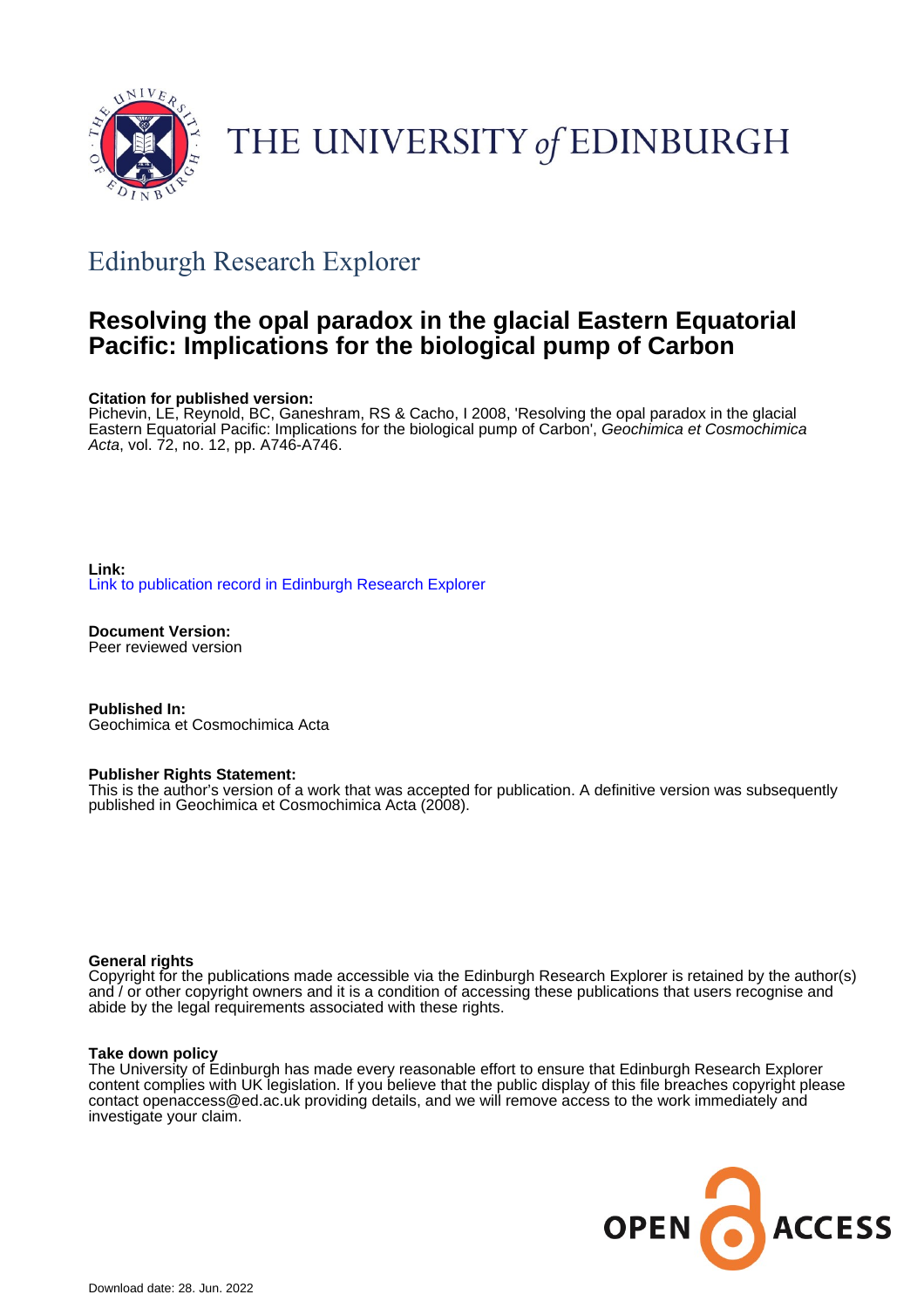

# THE UNIVERSITY of EDINBURGH

## Edinburgh Research Explorer

### **Resolving the opal paradox in the glacial Eastern Equatorial Pacific: Implications for the biological pump of Carbon**

#### **Citation for published version:**

Pichevin, LE, Reynold, BC, Ganeshram, RS & Cacho, I 2008, 'Resolving the opal paradox in the glacial Eastern Equatorial Pacific: Implications for the biological pump of Carbon', Geochimica et Cosmochimica Acta, vol. 72, no. 12, pp. A746-A746.

#### **Link:** [Link to publication record in Edinburgh Research Explorer](https://www.research.ed.ac.uk/en/publications/3d25699e-3e08-4a11-a817-7cfcc6de5133)

**Document Version:** Peer reviewed version

**Published In:** Geochimica et Cosmochimica Acta

#### **Publisher Rights Statement:**

This is the author's version of a work that was accepted for publication. A definitive version was subsequently published in Geochimica et Cosmochimica Acta (2008).

#### **General rights**

Copyright for the publications made accessible via the Edinburgh Research Explorer is retained by the author(s) and / or other copyright owners and it is a condition of accessing these publications that users recognise and abide by the legal requirements associated with these rights.

#### **Take down policy**

The University of Edinburgh has made every reasonable effort to ensure that Edinburgh Research Explorer content complies with UK legislation. If you believe that the public display of this file breaches copyright please contact openaccess@ed.ac.uk providing details, and we will remove access to the work immediately and investigate your claim.